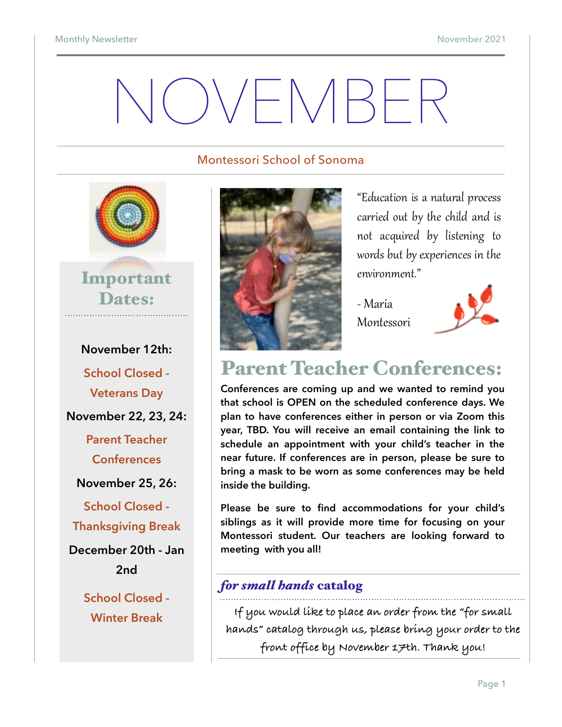# NOVEMBER

#### Montessori School of Sonoma



**November 12th: School Closed - Veterans Day November 22, 23, 24: Parent Teacher Conferences November 25, 26: School Closed - Thanksgiving Break December 20th - Jan 2nd School Closed - Winter Break**



"Education is a natural process carried out by the child and is not acquired by listening to words but by experiences in the environment."

- Maria Montessori



### Parent Teacher Conferences:

**Conferences are coming up and we wanted to remind you that school is OPEN on the scheduled conference days. We plan to have conferences either in person or via Zoom this year, TBD. You will receive an email containing the link to schedule an appointment with your child's teacher in the near future. If conferences are in person, please be sure to bring a mask to be worn as some conferences may be held inside the building.** 

**Please be sure to find accommodations for your child's siblings as it will provide more time for focusing on your Montessori student. Our teachers are looking forward to meeting with you all!**

#### *for small hands* catalog

**If you would like to place an order from the "for small hands" catalog through us, please bring your order to the front office by November 17th. Thank you!**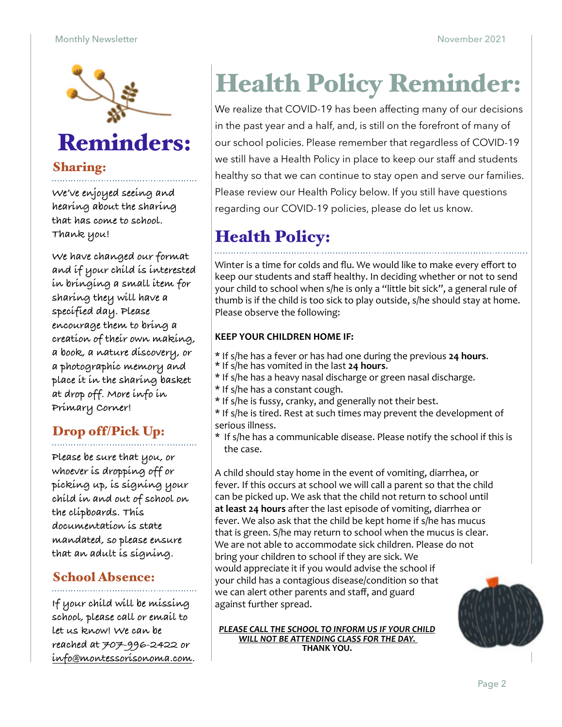

### Reminders:

#### Sharing:

**We've enjoyed seeing and hearing about the sharing that has come to school. Thank you!** 

**We have changed our format and if your child is interested in bringing a small item for sharing they will have a specified day. Please encourage them to bring a creation of their own making, a book, a nature discovery, or a photographic memory and place it in the sharing basket at drop off. More info in Primary Corner!** 

#### Drop off/Pick Up:

**Please be sure that you, or whoever is dropping off or picking up, is signing your child in and out of school on the clipboards. This documentation is state mandated, so please ensure that an adult is signing.** 

#### School Absence:

**If your child will be missing school, please call or email to let us know! We can be reached at 707-996-2422 or [info@montessorisonoma.com.](mailto:info@montessorisonoma.com)**

# Health Policy Reminder:

We realize that COVID-19 has been affecting many of our decisions in the past year and a half, and, is still on the forefront of many of our school policies. Please remember that regardless of COVID-19 we still have a Health Policy in place to keep our staff and students healthy so that we can continue to stay open and serve our families. Please review our Health Policy below. If you still have questions regarding our COVID-19 policies, please do let us know.

### Health Policy:

Winter is a time for colds and flu. We would like to make every effort to keep our students and staff healthy. In deciding whether or not to send your child to school when s/he is only a "little bit sick", a general rule of thumb is if the child is too sick to play outside, s/he should stay at home. Please observe the following:

#### **KEEP YOUR CHILDREN HOME IF:**

- \* If s/he has a fever or has had one during the previous **24 hours**. \* If s/he has vomited in the last **24 hours**.
- 
- \* If s/he has a heavy nasal discharge or green nasal discharge.
- \* If s/he has a constant cough.
- \* If s/he is fussy, cranky, and generally not their best.
- \* If s/he is tired. Rest at such times may prevent the development of serious illness.
- \* If s/he has a communicable disease. Please notify the school if this is the case.

A child should stay home in the event of vomiting, diarrhea, or fever. If this occurs at school we will call a parent so that the child can be picked up. We ask that the child not return to school until at least 24 hours after the last episode of vomiting, diarrhea or fever. We also ask that the child be kept home if s/he has mucus that is green. S/he may return to school when the mucus is clear. We are not able to accommodate sick children. Please do not bring your children to school if they are sick. We would appreciate it if you would advise the school if your child has a contagious disease/condition so that we can alert other parents and staff, and guard against further spread.

**PLEASE CALL THE SCHOOL TO INFORM US IF YOUR CHILD** *WILL NOT BE ATTENDING CLASS FOR THE DAY.* **THANK YOU.**

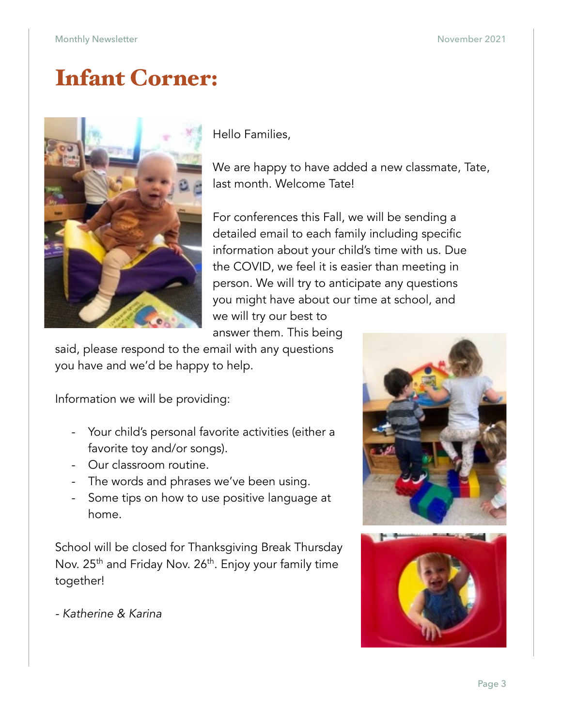### Infant Corner:



Hello Families,

We are happy to have added a new classmate, Tate, last month. Welcome Tate!

For conferences this Fall, we will be sending a detailed email to each family including specific information about your child's time with us. Due the COVID, we feel it is easier than meeting in person. We will try to anticipate any questions you might have about our time at school, and we will try our best to

answer them. This being

said, please respond to the email with any questions you have and we'd be happy to help.

Information we will be providing:

- Your child's personal favorite activities (either a favorite toy and/or songs).
- Our classroom routine.
- The words and phrases we've been using.
- Some tips on how to use positive language at home.

School will be closed for Thanksgiving Break Thursday Nov. 25<sup>th</sup> and Friday Nov. 26<sup>th</sup>. Enjoy your family time together!

*- Katherine & Karina* 



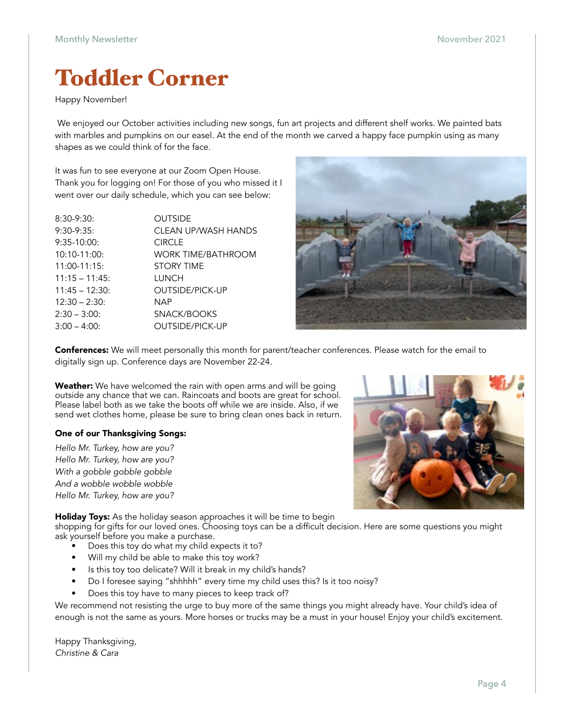### Toddler Corner

#### Happy November!

 We enjoyed our October activities including new songs, fun art projects and different shelf works. We painted bats with marbles and pumpkins on our easel. At the end of the month we carved a happy face pumpkin using as many shapes as we could think of for the face.

It was fun to see everyone at our Zoom Open House. Thank you for logging on! For those of you who missed it I went over our daily schedule, which you can see below:

| $8:30-9:30:$    | <b>OUTSIDE</b>         |
|-----------------|------------------------|
| $9:30-9:35$     | CLEAN UP/WASH HANDS    |
| $9:35-10:00$    | <b>CIRCLE</b>          |
| $10:10-11:00:$  | WORK TIME/BATHROOM     |
| $11:00-11:15:$  | <b>STORY TIME</b>      |
| $11:15 - 11:45$ | LUNCH                  |
| $11:45 - 12:30$ | OUTSIDE/PICK-UP        |
| $12:30 - 2:30:$ | NAP                    |
| $2:30 - 3:00$   | SNACK/BOOKS            |
| $3:00 - 4:00$   | <b>OUTSIDE/PICK-UP</b> |
|                 |                        |



Conferences: We will meet personally this month for parent/teacher conferences. Please watch for the email to digitally sign up. Conference days are November 22-24.

Weather: We have welcomed the rain with open arms and will be going outside any chance that we can. Raincoats and boots are great for school. Please label both as we take the boots off while we are inside. Also, if we send wet clothes home, please be sure to bring clean ones back in return.

#### One of our Thanksgiving Songs:

*Hello Mr. Turkey, how are you? Hello Mr. Turkey, how are you? With a gobble gobble gobble And a wobble wobble wobble Hello Mr. Turkey, how are you?* 

Holiday Toys: As the holiday season approaches it will be time to begin

shopping for gifts for our loved ones. Choosing toys can be a difficult decision. Here are some questions you might ask yourself before you make a purchase.

- Does this toy do what my child expects it to?
- Will my child be able to make this toy work?
- Is this toy too delicate? Will it break in my child's hands?
- Do I foresee saying "shhhhh" every time my child uses this? Is it too noisy?
- Does this toy have to many pieces to keep track of?

We recommend not resisting the urge to buy more of the same things you might already have. Your child's idea of enough is not the same as yours. More horses or trucks may be a must in your house! Enjoy your child's excitement.

Happy Thanksgiving, *Christine & Cara*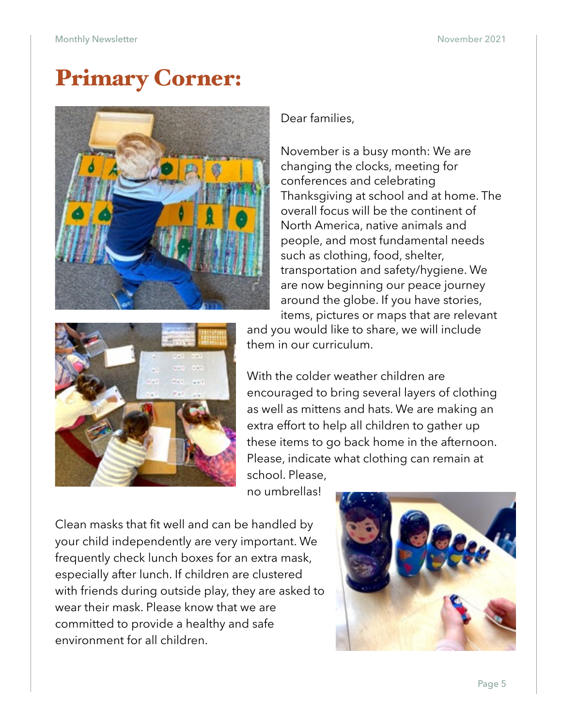### Primary Corner:



Dear families,

November is a busy month: We are changing the clocks, meeting for conferences and celebrating Thanksgiving at school and at home. The overall focus will be the continent of North America, native animals and people, and most fundamental needs such as clothing, food, shelter, transportation and safety/hygiene. We are now beginning our peace journey around the globe. If you have stories, items, pictures or maps that are relevant



and you would like to share, we will include them in our curriculum.

With the colder weather children are encouraged to bring several layers of clothing as well as mittens and hats. We are making an extra effort to help all children to gather up these items to go back home in the afternoon. Please, indicate what clothing can remain at school. Please,

no umbrellas!

Clean masks that fit well and can be handled by your child independently are very important. We frequently check lunch boxes for an extra mask, especially after lunch. If children are clustered with friends during outside play, they are asked to wear their mask. Please know that we are committed to provide a healthy and safe environment for all children.

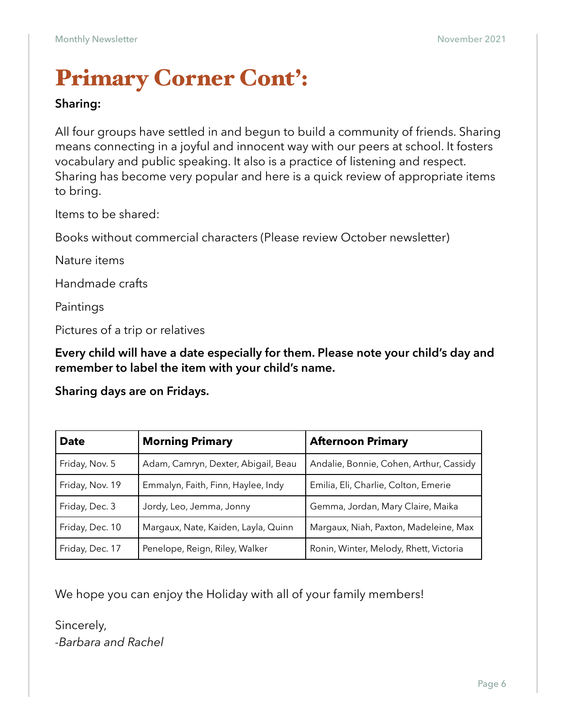### Primary Corner Cont':

#### **Sharing:**

All four groups have settled in and begun to build a community of friends. Sharing means connecting in a joyful and innocent way with our peers at school. It fosters vocabulary and public speaking. It also is a practice of listening and respect. Sharing has become very popular and here is a quick review of appropriate items to bring.

Items to be shared:

Books without commercial characters (Please review October newsletter)

Nature items

Handmade crafts

Paintings

Pictures of a trip or relatives

**Every child will have a date especially for them. Please note your child's day and remember to label the item with your child's name.** 

**Sharing days are on Fridays.**

| <b>Date</b>                                            | <b>Morning Primary</b>              | <b>Afternoon Primary</b>                |  |  |
|--------------------------------------------------------|-------------------------------------|-----------------------------------------|--|--|
| Friday, Nov. 5                                         | Adam, Camryn, Dexter, Abigail, Beau | Andalie, Bonnie, Cohen, Arthur, Cassidy |  |  |
| Friday, Nov. 19                                        | Emmalyn, Faith, Finn, Haylee, Indy  | Emilia, Eli, Charlie, Colton, Emerie    |  |  |
| Friday, Dec. 3                                         | Jordy, Leo, Jemma, Jonny            | Gemma, Jordan, Mary Claire, Maika       |  |  |
| Friday, Dec. 10<br>Margaux, Nate, Kaiden, Layla, Quinn |                                     | Margaux, Niah, Paxton, Madeleine, Max   |  |  |
| Friday, Dec. 17                                        | Penelope, Reign, Riley, Walker      | Ronin, Winter, Melody, Rhett, Victoria  |  |  |

We hope you can enjoy the Holiday with all of your family members!

Sincerely, *-Barbara and Rachel*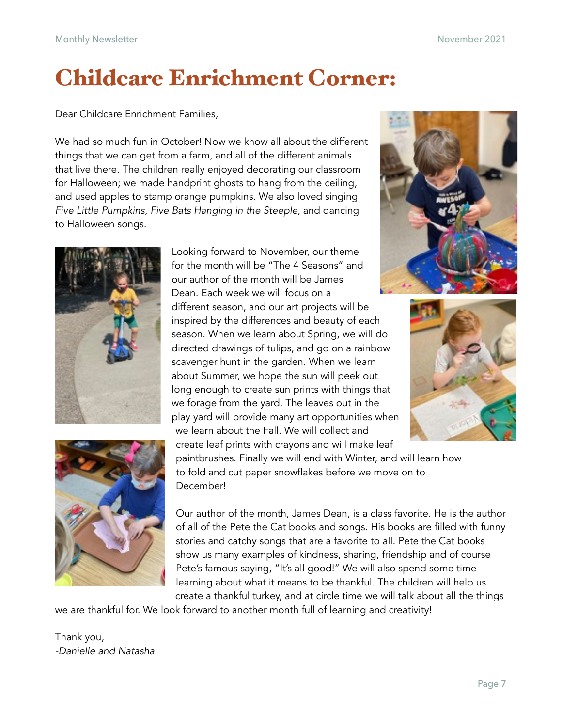## Childcare Enrichment Corner:

Dear Childcare Enrichment Families,

We had so much fun in October! Now we know all about the different things that we can get from a farm, and all of the different animals that live there. The children really enjoyed decorating our classroom for Halloween; we made handprint ghosts to hang from the ceiling, and used apples to stamp orange pumpkins. We also loved singing *Five Little Pumpkins, Five Bats Hanging in the Steeple*, and dancing to Halloween songs.











paintbrushes. Finally we will end with Winter, and will learn how to fold and cut paper snowflakes before we move on to December!

Our author of the month, James Dean, is a class favorite. He is the author of all of the Pete the Cat books and songs. His books are filled with funny stories and catchy songs that are a favorite to all. Pete the Cat books show us many examples of kindness, sharing, friendship and of course Pete's famous saying, "It's all good!" We will also spend some time learning about what it means to be thankful. The children will help us create a thankful turkey, and at circle time we will talk about all the things

we are thankful for. We look forward to another month full of learning and creativity!

Thank you, *-Danielle and Natasha*